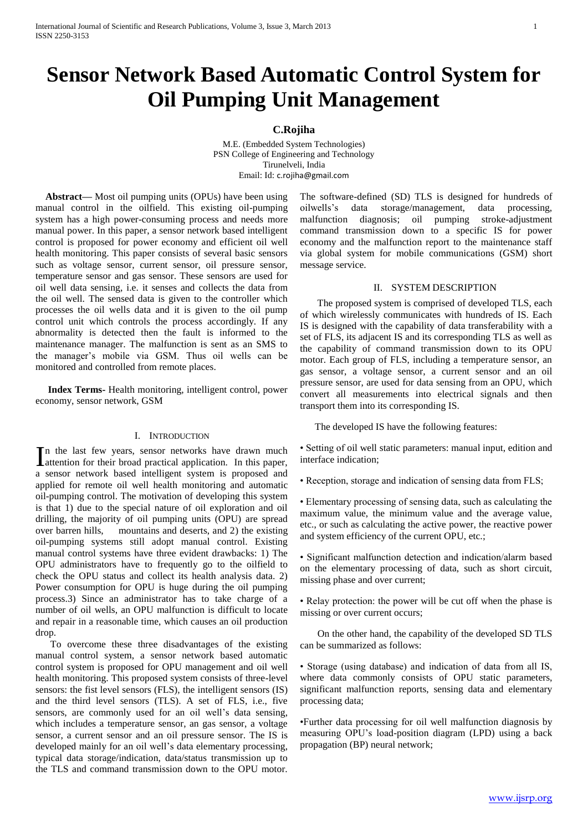# **Sensor Network Based Automatic Control System for Oil Pumping Unit Management**

### **C.Rojiha**

M.E. (Embedded System Technologies) PSN College of Engineering and Technology Tirunelveli, India Email: Id: [c.rojiha@gmail.com](mailto:c.rojiha@gmail.com)

 **Abstract—** Most oil pumping units (OPUs) have been using manual control in the oilfield. This existing oil-pumping system has a high power-consuming process and needs more manual power. In this paper, a sensor network based intelligent control is proposed for power economy and efficient oil well health monitoring. This paper consists of several basic sensors such as voltage sensor, current sensor, oil pressure sensor, temperature sensor and gas sensor. These sensors are used for oil well data sensing, i.e. it senses and collects the data from the oil well. The sensed data is given to the controller which processes the oil wells data and it is given to the oil pump control unit which controls the process accordingly. If any abnormality is detected then the fault is informed to the maintenance manager. The malfunction is sent as an SMS to the manager"s mobile via GSM. Thus oil wells can be monitored and controlled from remote places.

 **Index Terms-** Health monitoring, intelligent control, power economy, sensor network, GSM

#### I. INTRODUCTION

n the last few years, sensor networks have drawn much In the last few years, sensor networks have drawn much attention for their broad practical application. In this paper, a sensor network based intelligent system is proposed and applied for remote oil well health monitoring and automatic oil-pumping control. The motivation of developing this system is that 1) due to the special nature of oil exploration and oil drilling, the majority of oil pumping units (OPU) are spread over barren hills, mountains and deserts, and 2) the existing oil-pumping systems still adopt manual control. Existing manual control systems have three evident drawbacks: 1) The OPU administrators have to frequently go to the oilfield to check the OPU status and collect its health analysis data. 2) Power consumption for OPU is huge during the oil pumping process.3) Since an administrator has to take charge of a number of oil wells, an OPU malfunction is difficult to locate and repair in a reasonable time, which causes an oil production drop.

 To overcome these three disadvantages of the existing manual control system, a sensor network based automatic control system is proposed for OPU management and oil well health monitoring. This proposed system consists of three-level sensors: the fist level sensors (FLS), the intelligent sensors (IS) and the third level sensors (TLS). A set of FLS, i.e., five sensors, are commonly used for an oil well's data sensing, which includes a temperature sensor, an gas sensor, a voltage sensor, a current sensor and an oil pressure sensor. The IS is developed mainly for an oil well's data elementary processing, typical data storage/indication, data/status transmission up to the TLS and command transmission down to the OPU motor.

The software-defined (SD) TLS is designed for hundreds of oilwells"s data storage/management, data processing, malfunction diagnosis; oil pumping stroke-adjustment command transmission down to a specific IS for power economy and the malfunction report to the maintenance staff via global system for mobile communications (GSM) short message service.

#### II. SYSTEM DESCRIPTION

 The proposed system is comprised of developed TLS, each of which wirelessly communicates with hundreds of IS. Each IS is designed with the capability of data transferability with a set of FLS, its adjacent IS and its corresponding TLS as well as the capability of command transmission down to its OPU motor. Each group of FLS, including a temperature sensor, an gas sensor, a voltage sensor, a current sensor and an oil pressure sensor, are used for data sensing from an OPU, which convert all measurements into electrical signals and then transport them into its corresponding IS.

The developed IS have the following features:

• Setting of oil well static parameters: manual input, edition and interface indication;

• Reception, storage and indication of sensing data from FLS;

• Elementary processing of sensing data, such as calculating the maximum value, the minimum value and the average value, etc., or such as calculating the active power, the reactive power and system efficiency of the current OPU, etc.;

• Significant malfunction detection and indication/alarm based on the elementary processing of data, such as short circuit, missing phase and over current;

• Relay protection: the power will be cut off when the phase is missing or over current occurs;

 On the other hand, the capability of the developed SD TLS can be summarized as follows:

• Storage (using database) and indication of data from all IS, where data commonly consists of OPU static parameters, significant malfunction reports, sensing data and elementary processing data;

•Further data processing for oil well malfunction diagnosis by measuring OPU"s load-position diagram (LPD) using a back propagation (BP) neural network;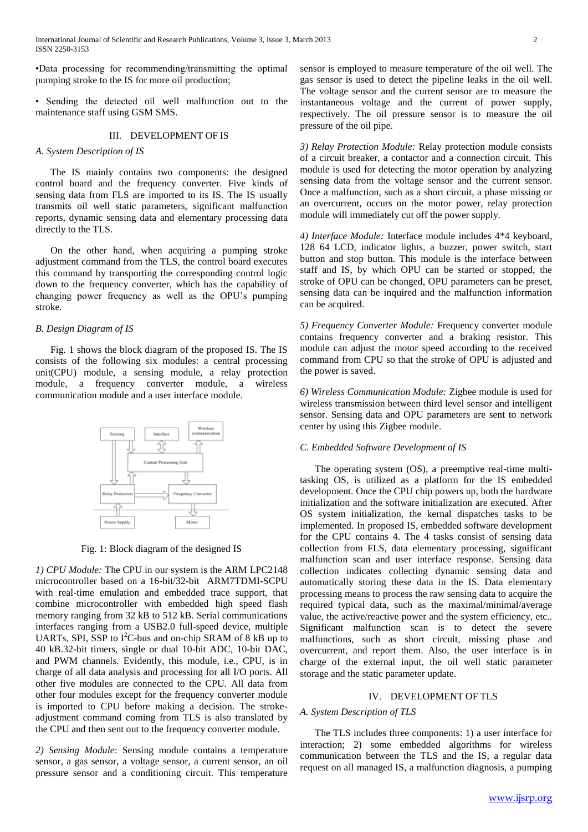•Data processing for recommending/transmitting the optimal pumping stroke to the IS for more oil production;

• Sending the detected oil well malfunction out to the maintenance staff using GSM SMS.

## III. DEVELOPMENT OF IS

#### *A. System Description of IS*

 The IS mainly contains two components: the designed control board and the frequency converter. Five kinds of sensing data from FLS are imported to its IS. The IS usually transmits oil well static parameters, significant malfunction reports, dynamic sensing data and elementary processing data directly to the TLS.

 On the other hand, when acquiring a pumping stroke adjustment command from the TLS, the control board executes this command by transporting the corresponding control logic down to the frequency converter, which has the capability of changing power frequency as well as the OPU"s pumping stroke.

#### *B. Design Diagram of IS*

 Fig. 1 shows the block diagram of the proposed IS. The IS consists of the following six modules: a central processing unit(CPU) module, a sensing module, a relay protection module, a frequency converter module, a wireless communication module and a user interface module.



Fig. 1: Block diagram of the designed IS

*1) CPU Module:* The CPU in our system is the ARM LPC2148 microcontroller based on a 16-bit/32-bit ARM7TDMI-SCPU with real-time emulation and embedded trace support, that combine microcontroller with embedded high speed flash memory ranging from 32 kB to 512 kB. Serial communications interfaces ranging from a USB2.0 full-speed device, multiple UARTs, SPI, SSP to  $I<sup>2</sup>C$ -bus and on-chip SRAM of 8 kB up to 40 kB.32-bit timers, single or dual 10-bit ADC, 10-bit DAC, and PWM channels. Evidently, this module, i.e., CPU, is in charge of all data analysis and processing for all I/O ports. All other five modules are connected to the CPU. All data from other four modules except for the frequency converter module is imported to CPU before making a decision. The strokeadjustment command coming from TLS is also translated by the CPU and then sent out to the frequency converter module.

*2) Sensing Module*: Sensing module contains a temperature sensor, a gas sensor, a voltage sensor, a current sensor, an oil pressure sensor and a conditioning circuit. This temperature sensor is employed to measure temperature of the oil well. The gas sensor is used to detect the pipeline leaks in the oil well. The voltage sensor and the current sensor are to measure the instantaneous voltage and the current of power supply, respectively. The oil pressure sensor is to measure the oil pressure of the oil pipe.

*3) Relay Protection Module:* Relay protection module consists of a circuit breaker, a contactor and a connection circuit. This module is used for detecting the motor operation by analyzing sensing data from the voltage sensor and the current sensor. Once a malfunction, such as a short circuit, a phase missing or an overcurrent, occurs on the motor power, relay protection module will immediately cut off the power supply.

*4) Interface Module:* Interface module includes 4\*4 keyboard, 128 64 LCD, indicator lights, a buzzer, power switch, start button and stop button. This module is the interface between staff and IS, by which OPU can be started or stopped, the stroke of OPU can be changed, OPU parameters can be preset, sensing data can be inquired and the malfunction information can be acquired.

*5) Frequency Converter Module:* Frequency converter module contains frequency converter and a braking resistor. This module can adjust the motor speed according to the received command from CPU so that the stroke of OPU is adjusted and the power is saved.

*6) Wireless Communication Module:* Zigbee module is used for wireless transmission between third level sensor and intelligent sensor. Sensing data and OPU parameters are sent to network center by using this Zigbee module.

#### *C. Embedded Software Development of IS*

 The operating system (OS), a preemptive real-time multitasking OS, is utilized as a platform for the IS embedded development. Once the CPU chip powers up, both the hardware initialization and the software initialization are executed. After OS system initialization, the kernal dispatches tasks to be implemented. In proposed IS, embedded software development for the CPU contains 4. The 4 tasks consist of sensing data collection from FLS, data elementary processing, significant malfunction scan and user interface response. Sensing data collection indicates collecting dynamic sensing data and automatically storing these data in the IS. Data elementary processing means to process the raw sensing data to acquire the required typical data, such as the maximal/minimal/average value, the active/reactive power and the system efficiency, etc.. Significant malfunction scan is to detect the severe malfunctions, such as short circuit, missing phase and overcurrent, and report them. Also, the user interface is in charge of the external input, the oil well static parameter storage and the static parameter update.

#### IV. DEVELOPMENT OF TLS

#### *A. System Description of TLS*

 The TLS includes three components: 1) a user interface for interaction; 2) some embedded algorithms for wireless communication between the TLS and the IS, a regular data request on all managed IS, a malfunction diagnosis, a pumping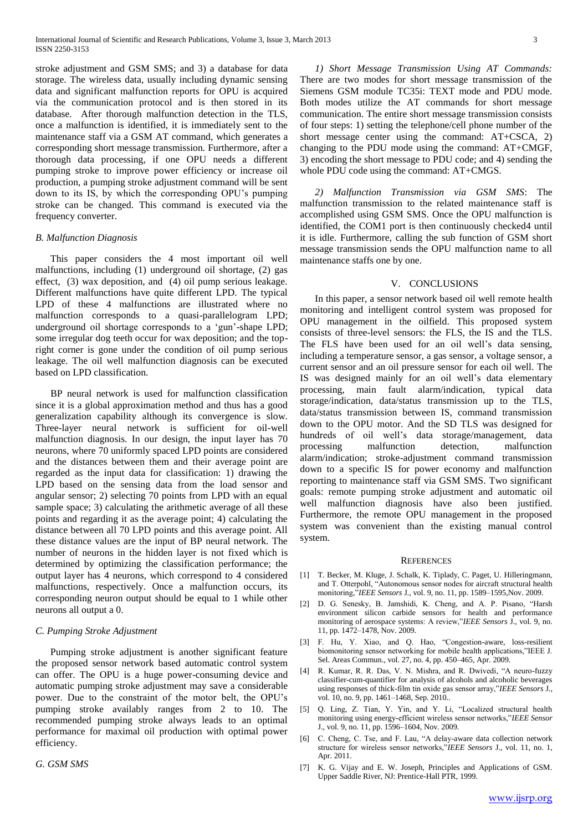stroke adjustment and GSM SMS; and 3) a database for data storage. The wireless data, usually including dynamic sensing data and significant malfunction reports for OPU is acquired via the communication protocol and is then stored in its database. After thorough malfunction detection in the TLS, once a malfunction is identified, it is immediately sent to the maintenance staff via a GSM AT command, which generates a corresponding short message transmission. Furthermore, after a thorough data processing, if one OPU needs a different pumping stroke to improve power efficiency or increase oil production, a pumping stroke adjustment command will be sent down to its IS, by which the corresponding OPU"s pumping stroke can be changed. This command is executed via the frequency converter.

#### *B. Malfunction Diagnosis*

 This paper considers the 4 most important oil well malfunctions, including (1) underground oil shortage, (2) gas effect, (3) wax deposition, and (4) oil pump serious leakage. Different malfunctions have quite different LPD. The typical LPD of these 4 malfunctions are illustrated where no malfunction corresponds to a quasi-parallelogram LPD; underground oil shortage corresponds to a "gun"-shape LPD; some irregular dog teeth occur for wax deposition; and the topright corner is gone under the condition of oil pump serious leakage. The oil well malfunction diagnosis can be executed based on LPD classification.

 BP neural network is used for malfunction classification since it is a global approximation method and thus has a good generalization capability although its convergence is slow. Three-layer neural network is sufficient for oil-well malfunction diagnosis. In our design, the input layer has 70 neurons, where 70 uniformly spaced LPD points are considered and the distances between them and their average point are regarded as the input data for classification: 1) drawing the LPD based on the sensing data from the load sensor and angular sensor; 2) selecting 70 points from LPD with an equal sample space; 3) calculating the arithmetic average of all these points and regarding it as the average point; 4) calculating the distance between all 70 LPD points and this average point. All these distance values are the input of BP neural network. The number of neurons in the hidden layer is not fixed which is determined by optimizing the classification performance; the output layer has 4 neurons, which correspond to 4 considered malfunctions, respectively. Once a malfunction occurs, its corresponding neuron output should be equal to 1 while other neurons all output a 0.

#### *C. Pumping Stroke Adjustment*

 Pumping stroke adjustment is another significant feature the proposed sensor network based automatic control system can offer. The OPU is a huge power-consuming device and automatic pumping stroke adjustment may save a considerable power. Due to the constraint of the motor belt, the OPU"s pumping stroke availably ranges from 2 to 10. The recommended pumping stroke always leads to an optimal performance for maximal oil production with optimal power efficiency.

*G. GSM SMS*

 *1) Short Message Transmission Using AT Commands:* There are two modes for short message transmission of the Siemens GSM module TC35i: TEXT mode and PDU mode. Both modes utilize the AT commands for short message communication. The entire short message transmission consists of four steps: 1) setting the telephone/cell phone number of the short message center using the command: AT+CSCA, 2) changing to the PDU mode using the command: AT+CMGF, 3) encoding the short message to PDU code; and 4) sending the whole PDU code using the command: AT+CMGS.

 *2) Malfunction Transmission via GSM SMS*: The malfunction transmission to the related maintenance staff is accomplished using GSM SMS. Once the OPU malfunction is identified, the COM1 port is then continuously checked4 until it is idle. Furthermore, calling the sub function of GSM short message transmission sends the OPU malfunction name to all maintenance staffs one by one.

## V. CONCLUSIONS

 In this paper, a sensor network based oil well remote health monitoring and intelligent control system was proposed for OPU management in the oilfield. This proposed system consists of three-level sensors: the FLS, the IS and the TLS. The FLS have been used for an oil well's data sensing, including a temperature sensor, a gas sensor, a voltage sensor, a current sensor and an oil pressure sensor for each oil well. The IS was designed mainly for an oil well"s data elementary processing, main fault alarm/indication, typical data storage/indication, data/status transmission up to the TLS, data/status transmission between IS, command transmission down to the OPU motor. And the SD TLS was designed for hundreds of oil well"s data storage/management, data processing malfunction detection, malfunction alarm/indication; stroke-adjustment command transmission down to a specific IS for power economy and malfunction reporting to maintenance staff via GSM SMS. Two significant goals: remote pumping stroke adjustment and automatic oil well malfunction diagnosis have also been justified. Furthermore, the remote OPU management in the proposed system was convenient than the existing manual control system.

#### **REFERENCES**

- [1] T. Becker, M. Kluge, J. Schalk, K. Tiplady, C. Paget, U. Hilleringmann, and T. Otterpohl, "Autonomous sensor nodes for aircraft structural health monitoring,"*IEEE Sensors* J., vol. 9, no. 11, pp. 1589–1595,Nov. 2009.
- [2] D. G. Senesky, B. Jamshidi, K. Cheng, and A. P. Pisano, "Harsh environment silicon carbide sensors for health and performance monitoring of aerospace systems: A review,"*IEEE Sensors* J., vol. 9, no. 11, pp. 1472–1478, Nov. 2009.
- [3] F. Hu, Y. Xiao, and Q. Hao, "Congestion-aware, loss-resilient biomonitoring sensor networking for mobile health applications,"IEEE J. Sel. Areas Commun., vol. 27, no. 4, pp. 450–465, Apr. 2009.
- [4] R. Kumar, R. R. Das, V. N. Mishra, and R. Dwivedi, "A neuro-fuzzy classifier-cum-quantifier for analysis of alcohols and alcoholic beverages using responses of thick-film tin oxide gas sensor array,"*IEEE Sensors* J., vol. 10, no. 9, pp. 1461-1468, Sep. 2010...
- [5] Q. Ling, Z. Tian, Y. Yin, and Y. Li, "Localized structural health monitoring using energy-efficient wireless sensor networks,"*IEEE Sensor*  J., vol. 9, no. 11, pp. 1596–1604, Nov. 2009.
- [6] C. Cheng, C. Tse, and F. Lau, "A delay-aware data collection network structure for wireless sensor networks,"*IEEE Sensors* J., vol. 11, no. 1, Apr. 2011.
- [7] K. G. Vijay and E. W. Joseph, Principles and Applications of GSM. Upper Saddle River, NJ: Prentice-Hall PTR, 1999.